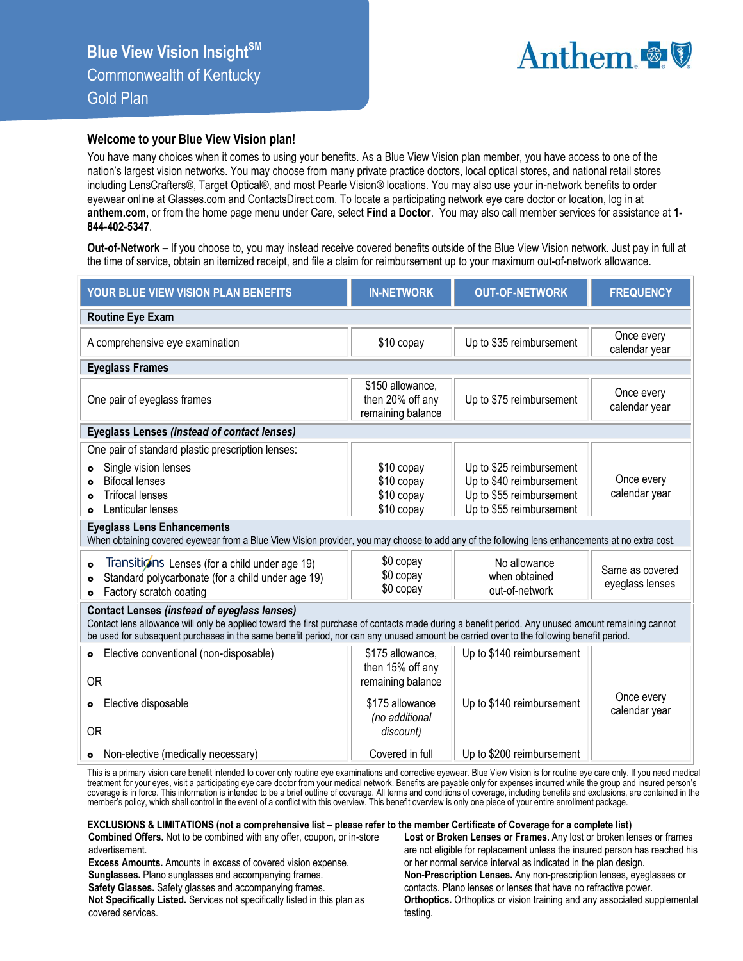

## **Welcome to your Blue View Vision plan!**

You have many choices when it comes to using your benefits. As a Blue View Vision plan member, you have access to one of the nation's largest vision networks. You may choose from many private practice doctors, local optical stores, and national retail stores including LensCrafters®, Target Optical®, and most Pearle Vision® locations. You may also use your in-network benefits to order eyewear online at Glasses.com and ContactsDirect.com. To locate a participating network eye care doctor or location, log in at **anthem.com**, or from the home page menu under Care, select **Find a Doctor**. You may also call member services for assistance at **1- 844-402-5347**.

**Out-of-Network –** If you choose to, you may instead receive covered benefits outside of the Blue View Vision network. Just pay in full at the time of service, obtain an itemized receipt, and file a claim for reimbursement up to your maximum out-of-network allowance.

| YOUR BLUE VIEW VISION PLAN BENEFITS                                                                                                                                                                                                                                                                                                                                                                                                                                                                                                                                     | <b>IN-NETWORK</b>                                                                                           | <b>OUT-OF-NETWORK</b>                                                                                                                                           | <b>FREQUENCY</b>                                                  |  |  |  |  |  |
|-------------------------------------------------------------------------------------------------------------------------------------------------------------------------------------------------------------------------------------------------------------------------------------------------------------------------------------------------------------------------------------------------------------------------------------------------------------------------------------------------------------------------------------------------------------------------|-------------------------------------------------------------------------------------------------------------|-----------------------------------------------------------------------------------------------------------------------------------------------------------------|-------------------------------------------------------------------|--|--|--|--|--|
| <b>Routine Eye Exam</b>                                                                                                                                                                                                                                                                                                                                                                                                                                                                                                                                                 |                                                                                                             |                                                                                                                                                                 |                                                                   |  |  |  |  |  |
| A comprehensive eye examination                                                                                                                                                                                                                                                                                                                                                                                                                                                                                                                                         | \$10 copay                                                                                                  | Up to \$35 reimbursement                                                                                                                                        | Once every<br>calendar year                                       |  |  |  |  |  |
| <b>Eyeglass Frames</b>                                                                                                                                                                                                                                                                                                                                                                                                                                                                                                                                                  |                                                                                                             |                                                                                                                                                                 |                                                                   |  |  |  |  |  |
| One pair of eyeglass frames                                                                                                                                                                                                                                                                                                                                                                                                                                                                                                                                             | \$150 allowance,<br>then 20% off any<br>remaining balance                                                   | Up to \$75 reimbursement                                                                                                                                        | Once every<br>calendar year                                       |  |  |  |  |  |
| <b>Eyeglass Lenses (instead of contact lenses)</b>                                                                                                                                                                                                                                                                                                                                                                                                                                                                                                                      |                                                                                                             |                                                                                                                                                                 |                                                                   |  |  |  |  |  |
| One pair of standard plastic prescription lenses:<br>Single vision lenses<br><b>Bifocal lenses</b><br><b>Trifocal lenses</b><br>Lenticular lenses<br><b>Eyeglass Lens Enhancements</b><br>When obtaining covered eyewear from a Blue View Vision provider, you may choose to add any of the following lens enhancements at no extra cost.<br>Transitions Lenses (for a child under age 19)<br>$\bullet$<br>Standard polycarbonate (for a child under age 19)<br>$\bullet$<br>Factory scratch coating<br>$\bullet$<br><b>Contact Lenses (instead of eyeglass lenses)</b> | \$10 copay<br>\$10 copay<br>\$10 copay<br>\$10 copay<br>\$0 copay<br>\$0 copay<br>\$0 copay                 | Up to \$25 reimbursement<br>Up to \$40 reimbursement<br>Up to \$55 reimbursement<br>Up to \$55 reimbursement<br>No allowance<br>when obtained<br>out-of-network | Once every<br>calendar year<br>Same as covered<br>eyeglass lenses |  |  |  |  |  |
| Contact lens allowance will only be applied toward the first purchase of contacts made during a benefit period. Any unused amount remaining cannot<br>be used for subsequent purchases in the same benefit period, nor can any unused amount be carried over to the following benefit period.                                                                                                                                                                                                                                                                           |                                                                                                             |                                                                                                                                                                 |                                                                   |  |  |  |  |  |
| Elective conventional (non-disposable)<br>$\bullet$<br><b>OR</b><br>Elective disposable<br>$\bullet$<br>0R                                                                                                                                                                                                                                                                                                                                                                                                                                                              | \$175 allowance,<br>then 15% off any<br>remaining balance<br>\$175 allowance<br>(no additional<br>discount) | Up to \$140 reimbursement<br>Up to \$140 reimbursement                                                                                                          | Once every<br>calendar year                                       |  |  |  |  |  |
| • Non-elective (medically necessary)                                                                                                                                                                                                                                                                                                                                                                                                                                                                                                                                    | Covered in full                                                                                             | Up to \$200 reimbursement                                                                                                                                       |                                                                   |  |  |  |  |  |

This is a primary vision care benefit intended to cover only routine eye examinations and corrective eyewear. Blue View Vision is for routine eye care only. If you need medical treatment for your eyes, visit a participating eye care doctor from your medical network. Benefits are payable only for expenses incurred while the group and insured person's<br>coverage is in force. This information is inten member's policy, which shall control in the event of a conflict with this overview. This benefit overview is only one piece of your entire enrollment package.

## **EXCLUSIONS & LIMITATIONS (not a comprehensive list – please refer to the member Certificate of Coverage for a complete list)**

**Combined Offers.** Not to be combined with any offer, coupon, or in-store advertisement.

**Excess Amounts.** Amounts in excess of covered vision expense. **Sunglasses.** Plano sunglasses and accompanying frames.

**Safety Glasses.** Safety glasses and accompanying frames.

**Not Specifically Listed.** Services not specifically listed in this plan as covered services.

**Lost or Broken Lenses or Frames.** Any lost or broken lenses or frames are not eligible for replacement unless the insured person has reached his or her normal service interval as indicated in the plan design. **Non-Prescription Lenses.** Any non-prescription lenses, eyeglasses or contacts. Plano lenses or lenses that have no refractive power. **Orthoptics.** Orthoptics or vision training and any associated supplemental testing.